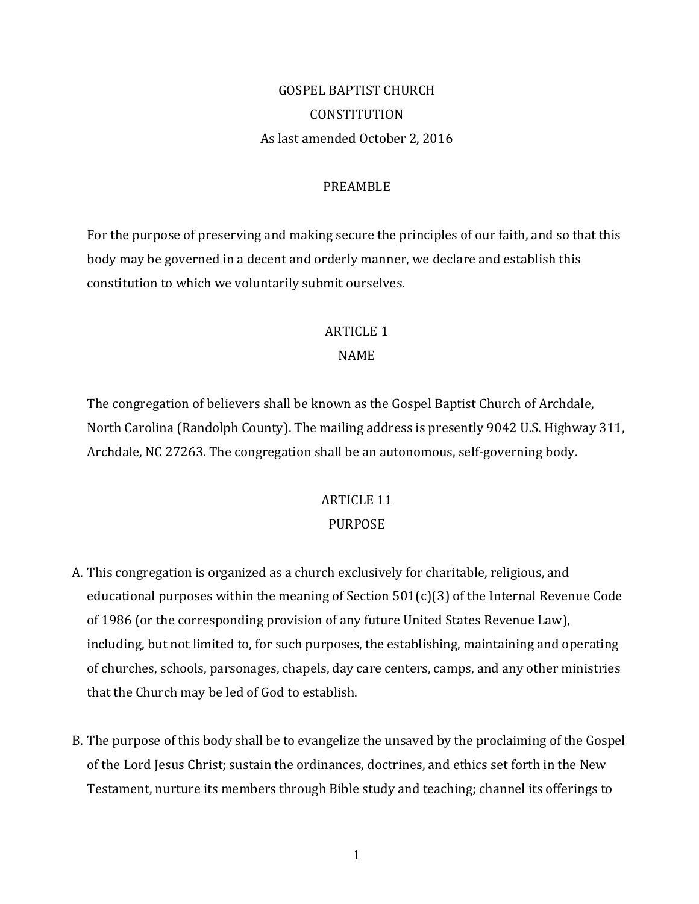# GOSPEL BAPTIST CHURCH **CONSTITUTION** As last amended October 2, 2016

#### PREAMBLE

For the purpose of preserving and making secure the principles of our faith, and so that this body may be governed in a decent and orderly manner, we declare and establish this constitution to which we voluntarily submit ourselves.

#### **ARTICLE 1**

#### NAME

The congregation of believers shall be known as the Gospel Baptist Church of Archdale, North Carolina (Randolph County). The mailing address is presently 9042 U.S. Highway 311, Archdale, NC 27263. The congregation shall be an autonomous, self-governing body.

# **ARTICLE 11** PURPOSE

- A. This congregation is organized as a church exclusively for charitable, religious, and educational purposes within the meaning of Section  $501(c)(3)$  of the Internal Revenue Code of 1986 (or the corresponding provision of any future United States Revenue Law), including, but not limited to, for such purposes, the establishing, maintaining and operating of churches, schools, parsonages, chapels, day care centers, camps, and any other ministries that the Church may be led of God to establish.
- B. The purpose of this body shall be to evangelize the unsaved by the proclaiming of the Gospel of the Lord Jesus Christ; sustain the ordinances, doctrines, and ethics set forth in the New Testament, nurture its members through Bible study and teaching; channel its offerings to

1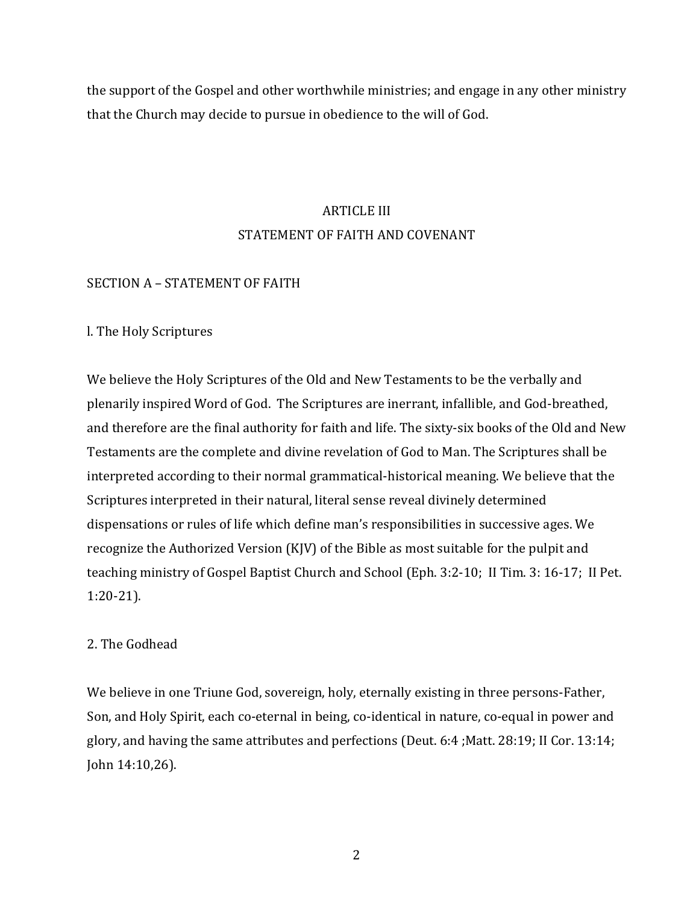the support of the Gospel and other worthwhile ministries; and engage in any other ministry that the Church may decide to pursue in obedience to the will of God.

# **ARTICLE III** STATEMENT OF FAITH AND COVENANT

#### SECTION A - STATEMENT OF FAITH

#### l. The Holy Scriptures

We believe the Holy Scriptures of the Old and New Testaments to be the verbally and plenarily inspired Word of God. The Scriptures are inerrant, infallible, and God-breathed, and therefore are the final authority for faith and life. The sixty-six books of the Old and New Testaments are the complete and divine revelation of God to Man. The Scriptures shall be interpreted according to their normal grammatical-historical meaning. We believe that the Scriptures interpreted in their natural, literal sense reveal divinely determined dispensations or rules of life which define man's responsibilities in successive ages. We recognize the Authorized Version  $(K|V)$  of the Bible as most suitable for the pulpit and teaching ministry of Gospel Baptist Church and School (Eph. 3:2-10; II Tim. 3: 16-17; II Pet. 1:20-21). 

# 2. The Godhead

We believe in one Triune God, sovereign, holy, eternally existing in three persons-Father, Son, and Holy Spirit, each co-eternal in being, co-identical in nature, co-equal in power and glory, and having the same attributes and perfections (Deut.  $6:4$ ; Matt.  $28:19$ ; II Cor. 13:14; John 14:10,26). 

2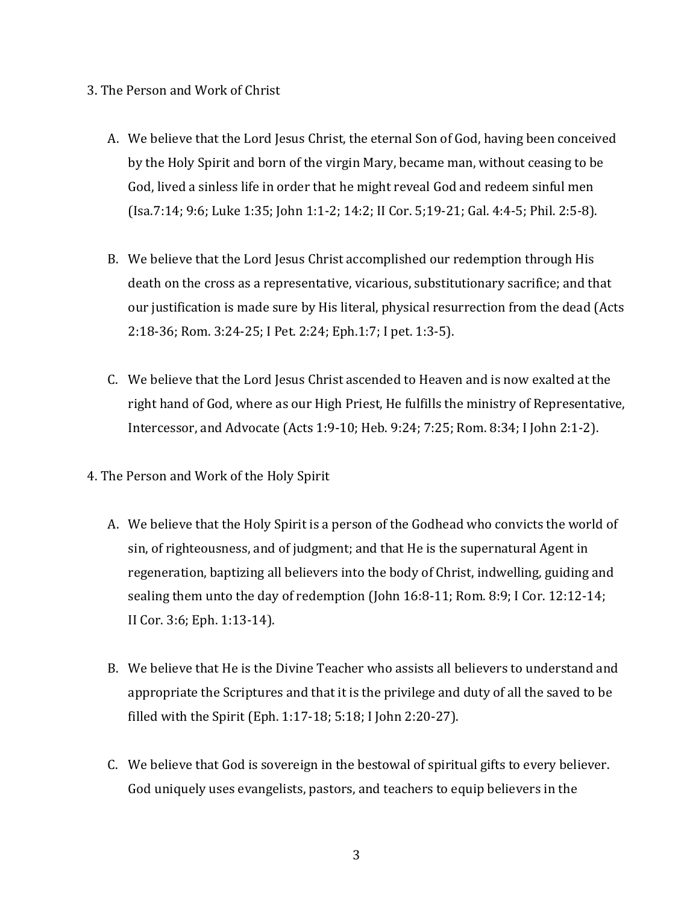# 3. The Person and Work of Christ

- A. We believe that the Lord Jesus Christ, the eternal Son of God, having been conceived by the Holy Spirit and born of the virgin Mary, became man, without ceasing to be God, lived a sinless life in order that he might reveal God and redeem sinful men (Isa.7:14; 9:6; Luke 1:35; John 1:1-2; 14:2; II Cor. 5;19-21; Gal. 4:4-5; Phil. 2:5-8).
- B. We believe that the Lord Jesus Christ accomplished our redemption through His death on the cross as a representative, vicarious, substitutionary sacrifice; and that our justification is made sure by His literal, physical resurrection from the dead (Acts 2:18-36; Rom. 3:24-25; I Pet. 2:24; Eph.1:7; I pet. 1:3-5).
- C. We believe that the Lord Jesus Christ ascended to Heaven and is now exalted at the right hand of God, where as our High Priest, He fulfills the ministry of Representative, Intercessor, and Advocate (Acts 1:9-10; Heb. 9:24; 7:25; Rom. 8:34; I John 2:1-2).
- 4. The Person and Work of the Holy Spirit
	- A. We believe that the Holy Spirit is a person of the Godhead who convicts the world of sin, of righteousness, and of judgment; and that He is the supernatural Agent in regeneration, baptizing all believers into the body of Christ, indwelling, guiding and sealing them unto the day of redemption (John 16:8-11; Rom. 8:9; I Cor. 12:12-14; II Cor. 3:6; Eph. 1:13-14).
	- B. We believe that He is the Divine Teacher who assists all believers to understand and appropriate the Scriptures and that it is the privilege and duty of all the saved to be filled with the Spirit (Eph. 1:17-18;  $5:18$ ; I John 2:20-27).
	- C. We believe that God is sovereign in the bestowal of spiritual gifts to every believer. God uniquely uses evangelists, pastors, and teachers to equip believers in the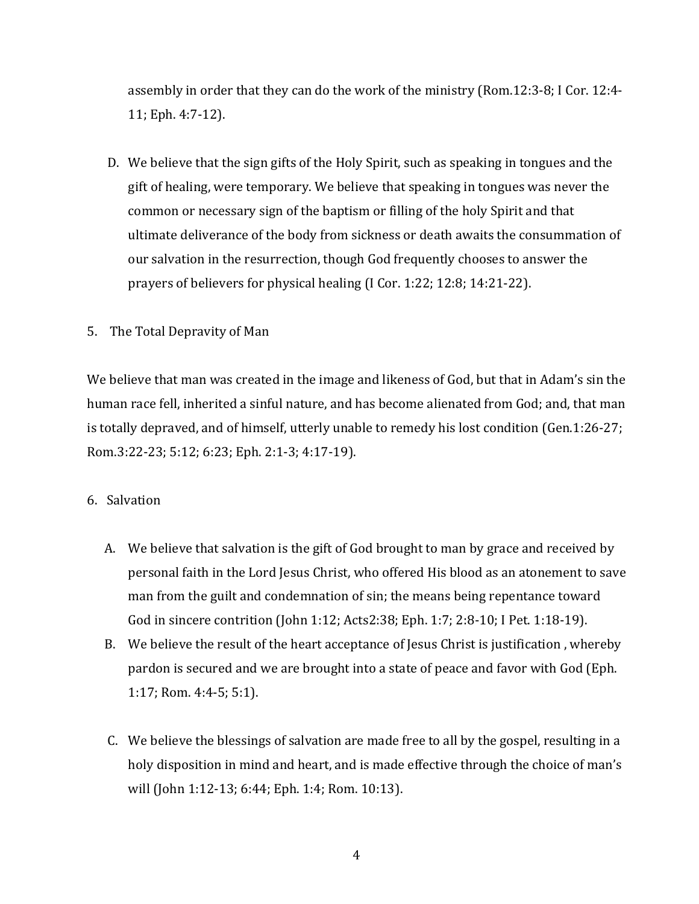assembly in order that they can do the work of the ministry (Rom.12:3-8; I Cor. 12:4-11; Eph. 4:7-12).

- D. We believe that the sign gifts of the Holy Spirit, such as speaking in tongues and the gift of healing, were temporary. We believe that speaking in tongues was never the common or necessary sign of the baptism or filling of the holy Spirit and that ultimate deliverance of the body from sickness or death awaits the consummation of our salvation in the resurrection, though God frequently chooses to answer the prayers of believers for physical healing  $(I\text{ Cor. }1:22; 12:8; 14:21-22)$ .
- 5. The Total Depravity of Man

We believe that man was created in the image and likeness of God, but that in Adam's sin the human race fell, inherited a sinful nature, and has become alienated from God; and, that man is totally depraved, and of himself, utterly unable to remedy his lost condition (Gen.1:26-27; Rom.3:22-23; 5:12; 6:23; Eph. 2:1-3; 4:17-19).

- 6. Salvation
	- A. We believe that salvation is the gift of God brought to man by grace and received by personal faith in the Lord Jesus Christ, who offered His blood as an atonement to save man from the guilt and condemnation of sin; the means being repentance toward God in sincere contrition (John 1:12; Acts2:38; Eph. 1:7; 2:8-10; I Pet. 1:18-19).
	- B. We believe the result of the heart acceptance of Jesus Christ is justification, whereby pardon is secured and we are brought into a state of peace and favor with God (Eph. 1:17; Rom. 4:4-5; 5:1).
	- C. We believe the blessings of salvation are made free to all by the gospel, resulting in a holy disposition in mind and heart, and is made effective through the choice of man's will (John 1:12-13; 6:44; Eph. 1:4; Rom. 10:13).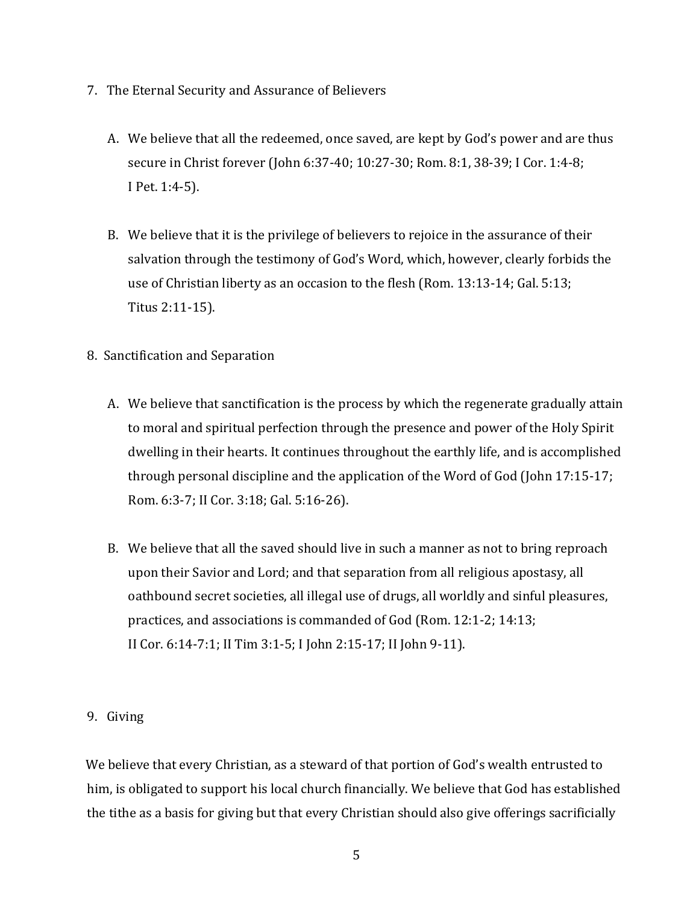- 7. The Eternal Security and Assurance of Believers
	- A. We believe that all the redeemed, once saved, are kept by God's power and are thus secure in Christ forever (John 6:37-40; 10:27-30; Rom. 8:1, 38-39; I Cor. 1:4-8; I Pet. 1:4-5).
	- B. We believe that it is the privilege of believers to rejoice in the assurance of their salvation through the testimony of God's Word, which, however, clearly forbids the use of Christian liberty as an occasion to the flesh (Rom.  $13:13-14$ ; Gal. 5:13; Titus 2:11-15).
- 8. Sanctification and Separation
	- A. We believe that sanctification is the process by which the regenerate gradually attain to moral and spiritual perfection through the presence and power of the Holy Spirit dwelling in their hearts. It continues throughout the earthly life, and is accomplished through personal discipline and the application of the Word of God (John  $17:15-17$ ; Rom. 6:3-7; II Cor. 3:18; Gal. 5:16-26).
	- B. We believe that all the saved should live in such a manner as not to bring reproach upon their Savior and Lord; and that separation from all religious apostasy, all oathbound secret societies, all illegal use of drugs, all worldly and sinful pleasures, practices, and associations is commanded of God (Rom. 12:1-2; 14:13; II Cor. 6:14-7:1; II Tim 3:1-5; I John 2:15-17; II John 9-11).

# 9. Giving

We believe that every Christian, as a steward of that portion of God's wealth entrusted to him, is obligated to support his local church financially. We believe that God has established the tithe as a basis for giving but that every Christian should also give offerings sacrificially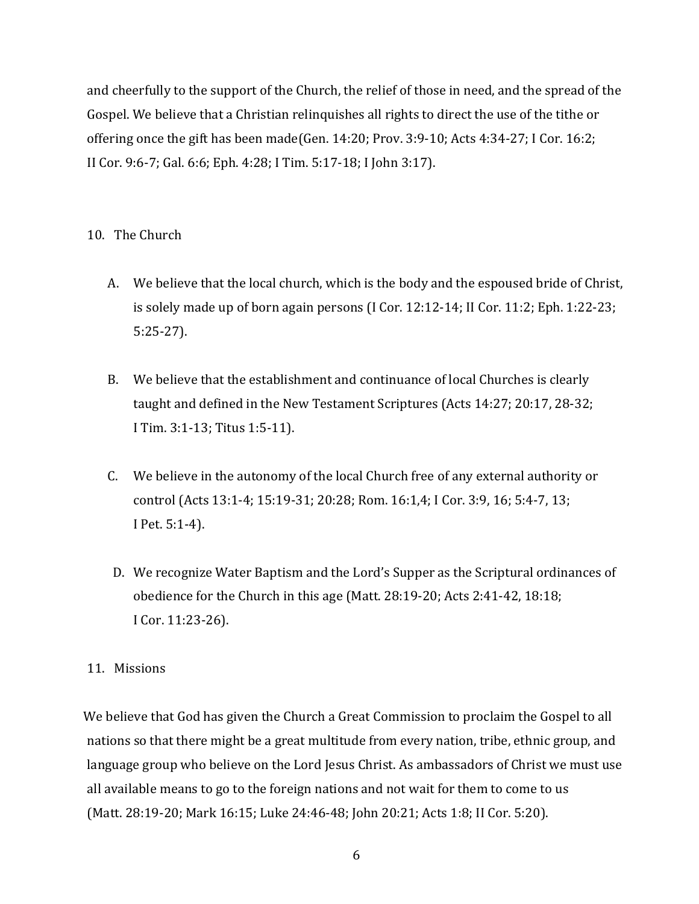and cheerfully to the support of the Church, the relief of those in need, and the spread of the Gospel. We believe that a Christian relinquishes all rights to direct the use of the tithe or offering once the gift has been made(Gen.  $14:20$ ; Prov.  $3:9-10$ ; Acts  $4:34-27$ ; I Cor.  $16:2$ ; II Cor. 9:6-7; Gal. 6:6; Eph. 4:28; I Tim. 5:17-18; I John 3:17).

# 10. The Church

- A. We believe that the local church, which is the body and the espoused bride of Christ, is solely made up of born again persons  $(I$  Cor. 12:12-14; II Cor. 11:2; Eph. 1:22-23; 5:25-27).
- B. We believe that the establishment and continuance of local Churches is clearly taught and defined in the New Testament Scriptures (Acts 14:27; 20:17, 28-32; I Tim. 3:1-13; Titus 1:5-11).
- C. We believe in the autonomy of the local Church free of any external authority or control (Acts 13:1-4; 15:19-31; 20:28; Rom. 16:1,4; I Cor. 3:9, 16; 5:4-7, 13; I Pet. 5:1-4).
- D. We recognize Water Baptism and the Lord's Supper as the Scriptural ordinances of obedience for the Church in this age (Matt. 28:19-20; Acts 2:41-42, 18:18; I Cor. 11:23-26).

# 11. Missions

We believe that God has given the Church a Great Commission to proclaim the Gospel to all nations so that there might be a great multitude from every nation, tribe, ethnic group, and language group who believe on the Lord Jesus Christ. As ambassadors of Christ we must use all available means to go to the foreign nations and not wait for them to come to us (Matt. 28:19-20; Mark 16:15; Luke 24:46-48; John 20:21; Acts 1:8; II Cor. 5:20).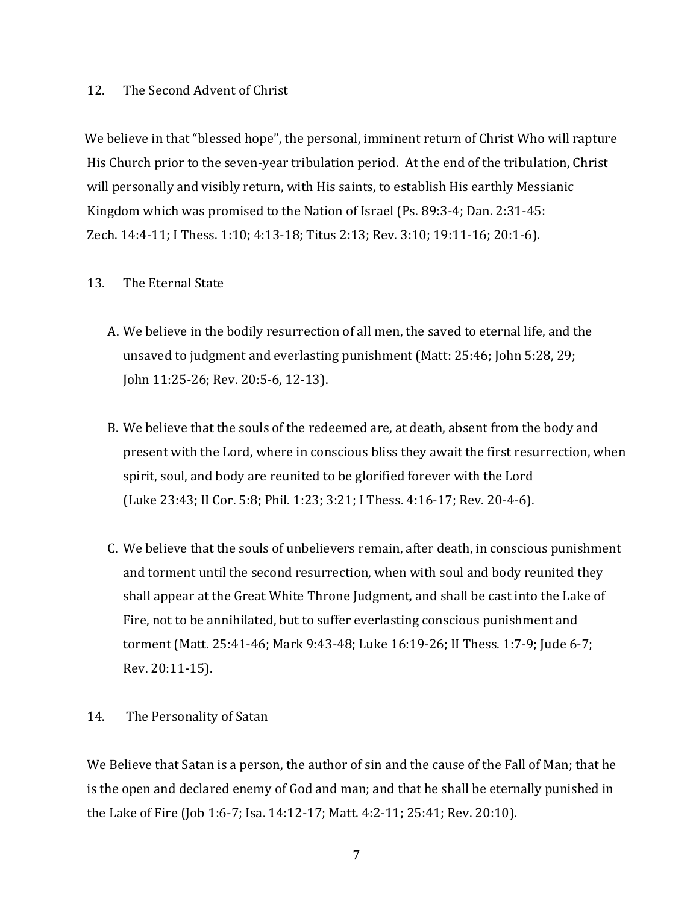#### 12. The Second Advent of Christ

We believe in that "blessed hope", the personal, imminent return of Christ Who will rapture His Church prior to the seven-year tribulation period. At the end of the tribulation, Christ will personally and visibly return, with His saints, to establish His earthly Messianic Kingdom which was promised to the Nation of Israel (Ps. 89:3-4; Dan. 2:31-45: Zech. 14:4-11; I Thess. 1:10; 4:13-18; Titus 2:13; Rev. 3:10; 19:11-16; 20:1-6).

#### 13. The Eternal State

- A. We believe in the bodily resurrection of all men, the saved to eternal life, and the unsaved to judgment and everlasting punishment (Matt:  $25:46$ ; John  $5:28, 29$ ; John 11:25-26; Rev. 20:5-6, 12-13).
- B. We believe that the souls of the redeemed are, at death, absent from the body and present with the Lord, where in conscious bliss they await the first resurrection, when spirit, soul, and body are reunited to be glorified forever with the Lord (Luke 23:43; II Cor. 5:8; Phil. 1:23; 3:21; I Thess. 4:16-17; Rev. 20-4-6).
- C. We believe that the souls of unbelievers remain, after death, in conscious punishment and torment until the second resurrection, when with soul and body reunited they shall appear at the Great White Throne Judgment, and shall be cast into the Lake of Fire, not to be annihilated, but to suffer everlasting conscious punishment and torment (Matt. 25:41-46; Mark 9:43-48; Luke 16:19-26; II Thess. 1:7-9; Jude 6-7; Rev. 20:11-15).

#### 14. The Personality of Satan

We Believe that Satan is a person, the author of sin and the cause of the Fall of Man; that he is the open and declared enemy of God and man; and that he shall be eternally punished in the Lake of Fire (Job 1:6-7; Isa. 14:12-17; Matt. 4:2-11; 25:41; Rev. 20:10).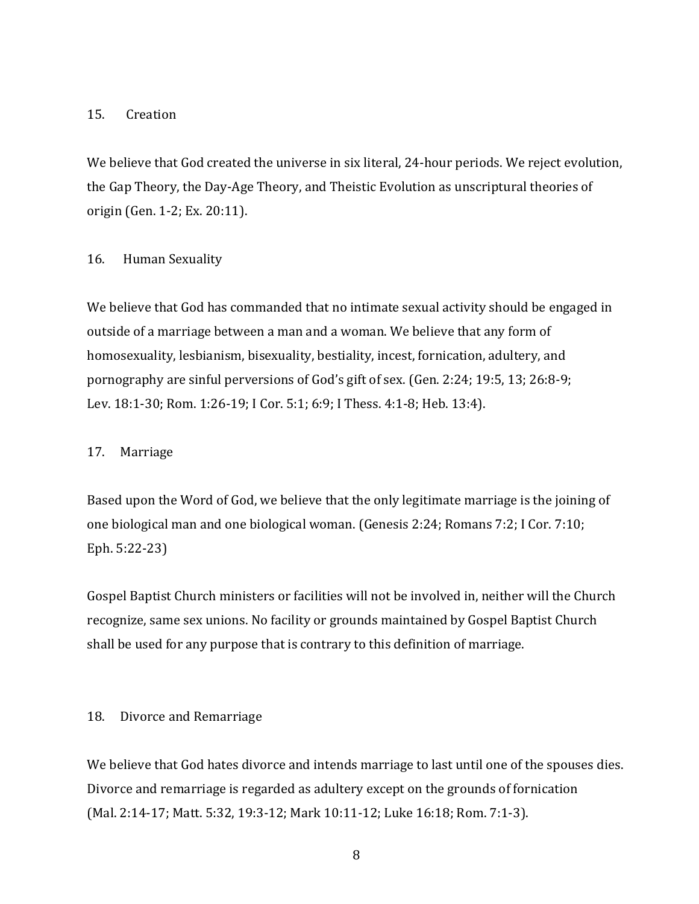#### 15. Creation

We believe that God created the universe in six literal, 24-hour periods. We reject evolution, the Gap Theory, the Day-Age Theory, and Theistic Evolution as unscriptural theories of origin (Gen. 1-2; Ex. 20:11).

#### 16. Human Sexuality

We believe that God has commanded that no intimate sexual activity should be engaged in outside of a marriage between a man and a woman. We believe that any form of homosexuality, lesbianism, bisexuality, bestiality, incest, fornication, adultery, and pornography are sinful perversions of God's gift of sex. (Gen. 2:24; 19:5, 13; 26:8-9; Lev. 18:1-30; Rom. 1:26-19; I Cor. 5:1; 6:9; I Thess. 4:1-8; Heb. 13:4).

#### 17. Marriage

Based upon the Word of God, we believe that the only legitimate marriage is the joining of one biological man and one biological woman. (Genesis  $2:24$ ; Romans  $7:2$ ; I Cor.  $7:10$ ; Eph. 5:22-23)

Gospel Baptist Church ministers or facilities will not be involved in, neither will the Church recognize, same sex unions. No facility or grounds maintained by Gospel Baptist Church shall be used for any purpose that is contrary to this definition of marriage.

#### 18. Divorce and Remarriage

We believe that God hates divorce and intends marriage to last until one of the spouses dies. Divorce and remarriage is regarded as adultery except on the grounds of fornication (Mal. 2:14-17; Matt. 5:32, 19:3-12; Mark 10:11-12; Luke 16:18; Rom. 7:1-3).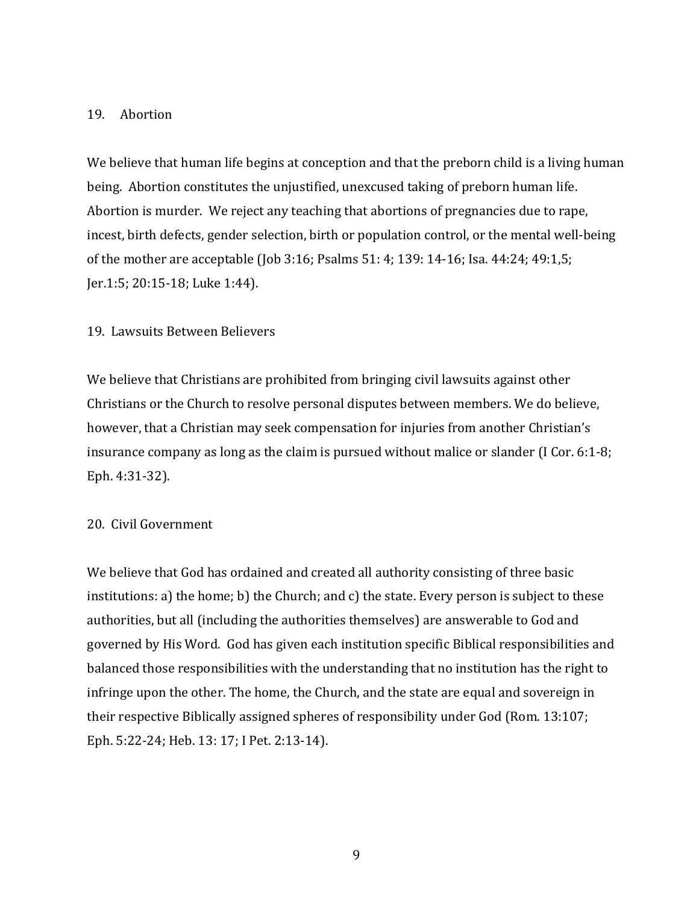#### 19. Abortion

We believe that human life begins at conception and that the preborn child is a living human being. Abortion constitutes the unjustified, unexcused taking of preborn human life. Abortion is murder. We reject any teaching that abortions of pregnancies due to rape, incest, birth defects, gender selection, birth or population control, or the mental well-being of the mother are acceptable (Job 3:16; Psalms  $51: 4$ ; 139: 14-16; Isa. 44:24; 49:1,5; Jer.1:5; 20:15-18; Luke 1:44).

#### 19. Lawsuits Between Believers

We believe that Christians are prohibited from bringing civil lawsuits against other Christians or the Church to resolve personal disputes between members. We do believe, however, that a Christian may seek compensation for injuries from another Christian's insurance company as long as the claim is pursued without malice or slander (I Cor. 6:1-8; Eph. 4:31-32).

#### 20. Civil Government

We believe that God has ordained and created all authority consisting of three basic institutions: a) the home; b) the Church; and c) the state. Every person is subject to these authorities, but all (including the authorities themselves) are answerable to God and governed by His Word. God has given each institution specific Biblical responsibilities and balanced those responsibilities with the understanding that no institution has the right to infringe upon the other. The home, the Church, and the state are equal and sovereign in their respective Biblically assigned spheres of responsibility under  $God$  (Rom.  $13:107$ ; Eph. 5:22-24; Heb. 13: 17; I Pet. 2:13-14).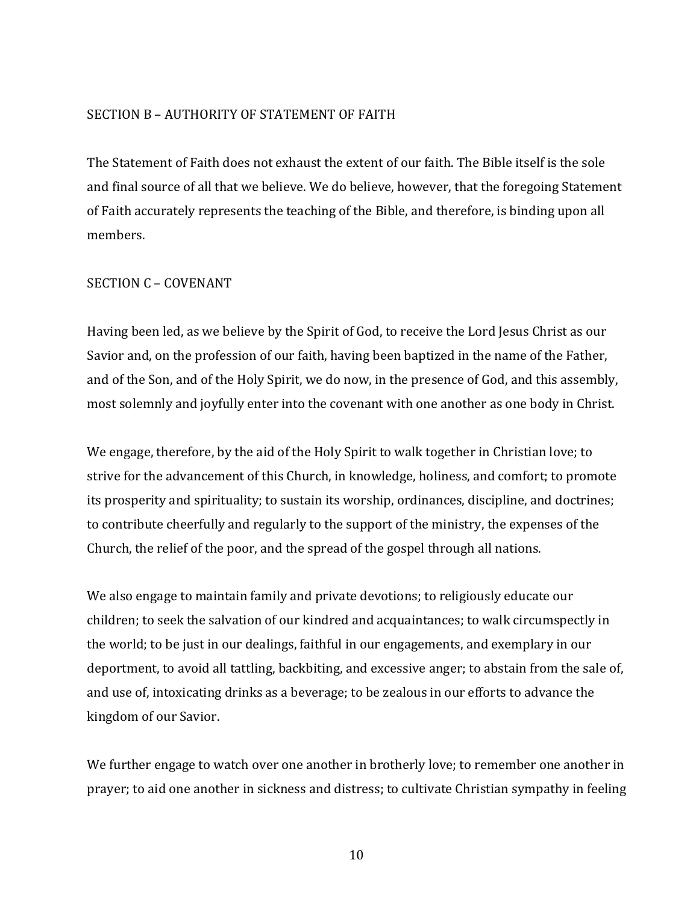#### SECTION B - AUTHORITY OF STATEMENT OF FAITH

The Statement of Faith does not exhaust the extent of our faith. The Bible itself is the sole and final source of all that we believe. We do believe, however, that the foregoing Statement of Faith accurately represents the teaching of the Bible, and therefore, is binding upon all members. 

#### SECTION C - COVENANT

Having been led, as we believe by the Spirit of God, to receive the Lord Jesus Christ as our Savior and, on the profession of our faith, having been baptized in the name of the Father, and of the Son, and of the Holy Spirit, we do now, in the presence of God, and this assembly, most solemnly and joyfully enter into the covenant with one another as one body in Christ.

We engage, therefore, by the aid of the Holy Spirit to walk together in Christian love; to strive for the advancement of this Church, in knowledge, holiness, and comfort; to promote its prosperity and spirituality; to sustain its worship, ordinances, discipline, and doctrines; to contribute cheerfully and regularly to the support of the ministry, the expenses of the Church, the relief of the poor, and the spread of the gospel through all nations.

We also engage to maintain family and private devotions; to religiously educate our children; to seek the salvation of our kindred and acquaintances; to walk circumspectly in the world; to be just in our dealings, faithful in our engagements, and exemplary in our deportment, to avoid all tattling, backbiting, and excessive anger; to abstain from the sale of, and use of, intoxicating drinks as a beverage; to be zealous in our efforts to advance the kingdom of our Savior.

We further engage to watch over one another in brotherly love; to remember one another in prayer; to aid one another in sickness and distress; to cultivate Christian sympathy in feeling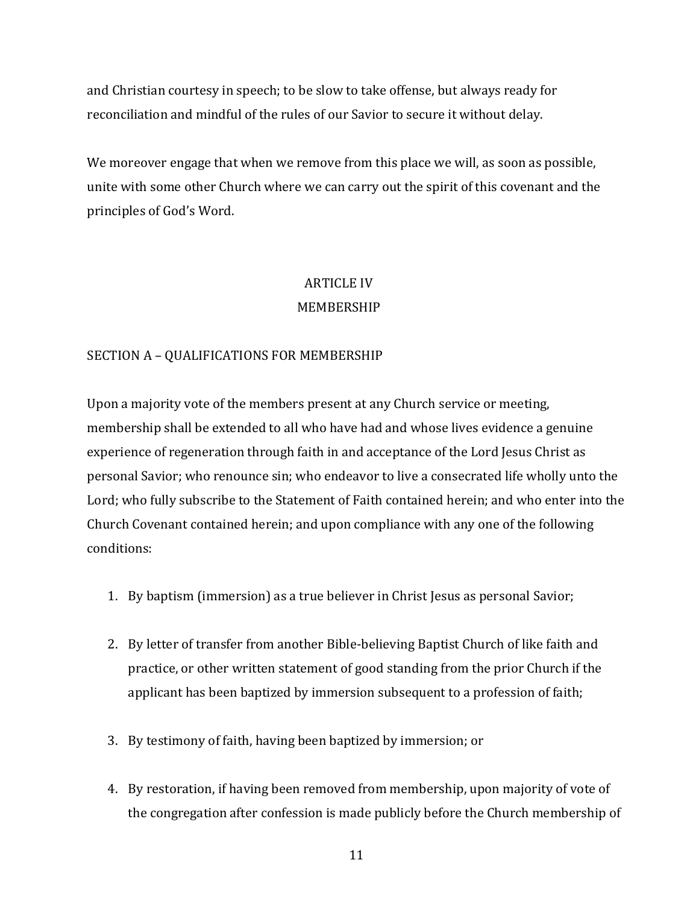and Christian courtesy in speech; to be slow to take offense, but always ready for reconciliation and mindful of the rules of our Savior to secure it without delay.

We moreover engage that when we remove from this place we will, as soon as possible, unite with some other Church where we can carry out the spirit of this covenant and the principles of God's Word.

# **ARTICLE IV** MEMBERSHIP

# SECTION A - QUALIFICATIONS FOR MEMBERSHIP

Upon a majority vote of the members present at any Church service or meeting, membership shall be extended to all who have had and whose lives evidence a genuine experience of regeneration through faith in and acceptance of the Lord Jesus Christ as personal Savior; who renounce sin; who endeavor to live a consecrated life wholly unto the Lord; who fully subscribe to the Statement of Faith contained herein; and who enter into the Church Covenant contained herein; and upon compliance with any one of the following conditions:

- 1. By baptism (immersion) as a true believer in Christ Jesus as personal Savior;
- 2. By letter of transfer from another Bible-believing Baptist Church of like faith and practice, or other written statement of good standing from the prior Church if the applicant has been baptized by immersion subsequent to a profession of faith;
- 3. By testimony of faith, having been baptized by immersion; or
- 4. By restoration, if having been removed from membership, upon majority of vote of the congregation after confession is made publicly before the Church membership of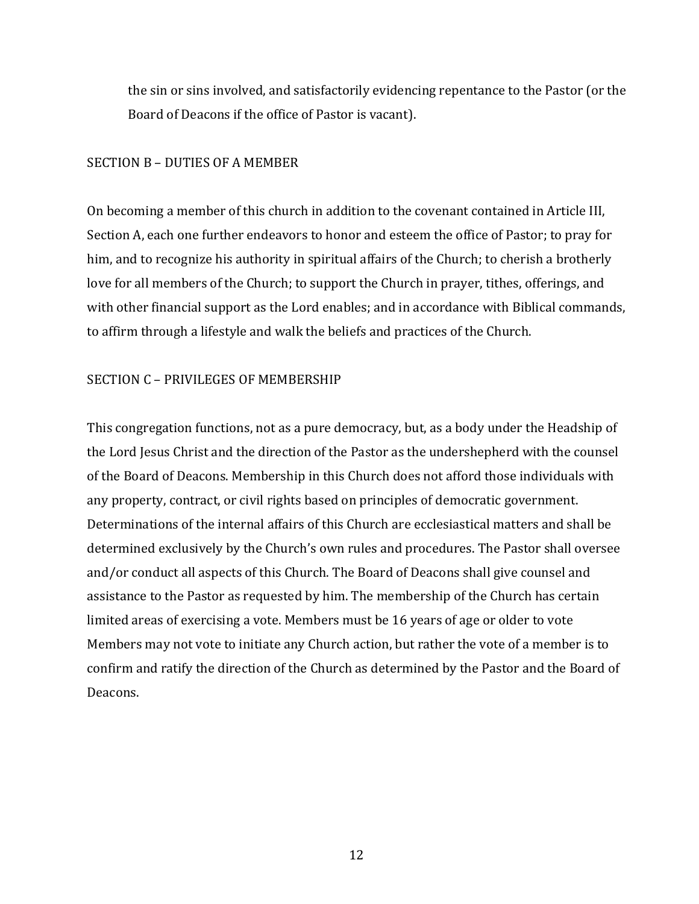the sin or sins involved, and satisfactorily evidencing repentance to the Pastor (or the Board of Deacons if the office of Pastor is vacant).

#### SECTION B - DUTIES OF A MEMBER

On becoming a member of this church in addition to the covenant contained in Article III, Section A, each one further endeavors to honor and esteem the office of Pastor; to pray for him, and to recognize his authority in spiritual affairs of the Church; to cherish a brotherly love for all members of the Church; to support the Church in prayer, tithes, offerings, and with other financial support as the Lord enables; and in accordance with Biblical commands, to affirm through a lifestyle and walk the beliefs and practices of the Church.

#### SECTION C - PRIVILEGES OF MEMBERSHIP

This congregation functions, not as a pure democracy, but, as a body under the Headship of the Lord Jesus Christ and the direction of the Pastor as the undershepherd with the counsel of the Board of Deacons. Membership in this Church does not afford those individuals with any property, contract, or civil rights based on principles of democratic government. Determinations of the internal affairs of this Church are ecclesiastical matters and shall be determined exclusively by the Church's own rules and procedures. The Pastor shall oversee and/or conduct all aspects of this Church. The Board of Deacons shall give counsel and assistance to the Pastor as requested by him. The membership of the Church has certain limited areas of exercising a vote. Members must be 16 years of age or older to vote Members may not vote to initiate any Church action, but rather the vote of a member is to confirm and ratify the direction of the Church as determined by the Pastor and the Board of Deacons.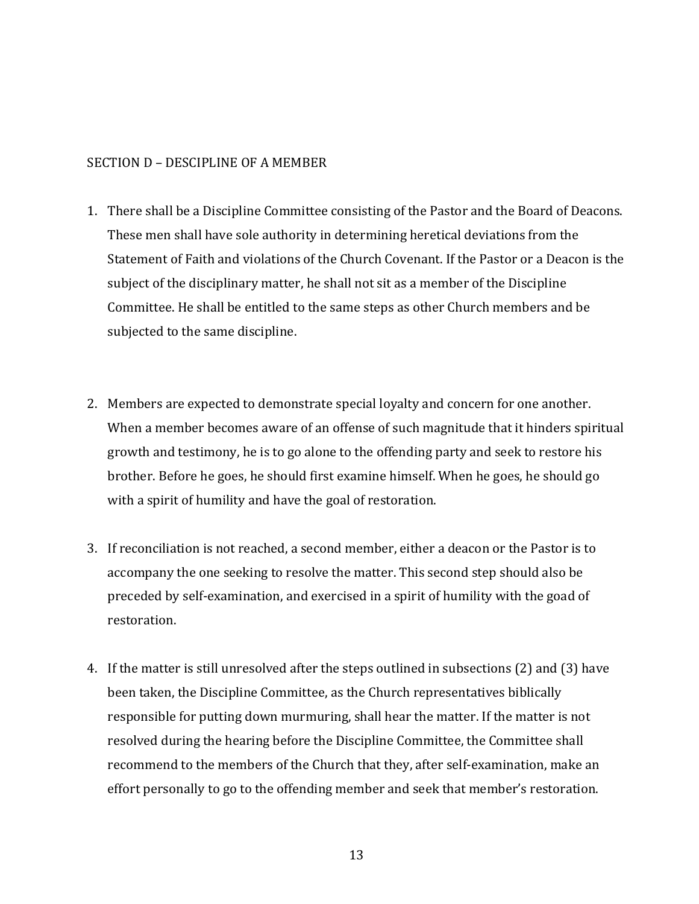#### SECTION D – DESCIPLINE OF A MEMBER

- 1. There shall be a Discipline Committee consisting of the Pastor and the Board of Deacons. These men shall have sole authority in determining heretical deviations from the Statement of Faith and violations of the Church Covenant. If the Pastor or a Deacon is the subject of the disciplinary matter, he shall not sit as a member of the Discipline Committee. He shall be entitled to the same steps as other Church members and be subjected to the same discipline.
- 2. Members are expected to demonstrate special loyalty and concern for one another. When a member becomes aware of an offense of such magnitude that it hinders spiritual growth and testimony, he is to go alone to the offending party and seek to restore his brother. Before he goes, he should first examine himself. When he goes, he should go with a spirit of humility and have the goal of restoration.
- 3. If reconciliation is not reached, a second member, either a deacon or the Pastor is to accompany the one seeking to resolve the matter. This second step should also be preceded by self-examination, and exercised in a spirit of humility with the goad of restoration.
- 4. If the matter is still unresolved after the steps outlined in subsections (2) and (3) have been taken, the Discipline Committee, as the Church representatives biblically responsible for putting down murmuring, shall hear the matter. If the matter is not resolved during the hearing before the Discipline Committee, the Committee shall recommend to the members of the Church that they, after self-examination, make an effort personally to go to the offending member and seek that member's restoration.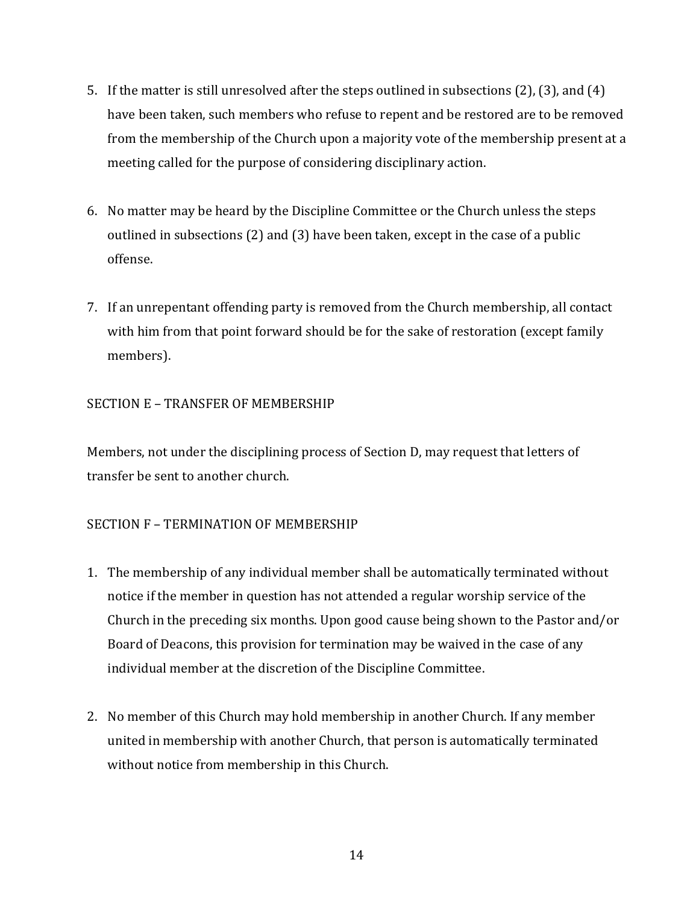- 5. If the matter is still unresolved after the steps outlined in subsections  $(2)$ ,  $(3)$ , and  $(4)$ have been taken, such members who refuse to repent and be restored are to be removed from the membership of the Church upon a majority vote of the membership present at a meeting called for the purpose of considering disciplinary action.
- 6. No matter may be heard by the Discipline Committee or the Church unless the steps outlined in subsections  $(2)$  and  $(3)$  have been taken, except in the case of a public offense.
- 7. If an unrepentant offending party is removed from the Church membership, all contact with him from that point forward should be for the sake of restoration (except family members).

# SECTION E - TRANSFER OF MEMBERSHIP

Members, not under the disciplining process of Section D, may request that letters of transfer be sent to another church.

# SECTION **F** – TERMINATION OF MEMBERSHIP

- 1. The membership of any individual member shall be automatically terminated without notice if the member in question has not attended a regular worship service of the Church in the preceding six months. Upon good cause being shown to the Pastor and/or Board of Deacons, this provision for termination may be waived in the case of any individual member at the discretion of the Discipline Committee.
- 2. No member of this Church may hold membership in another Church. If any member united in membership with another Church, that person is automatically terminated without notice from membership in this Church.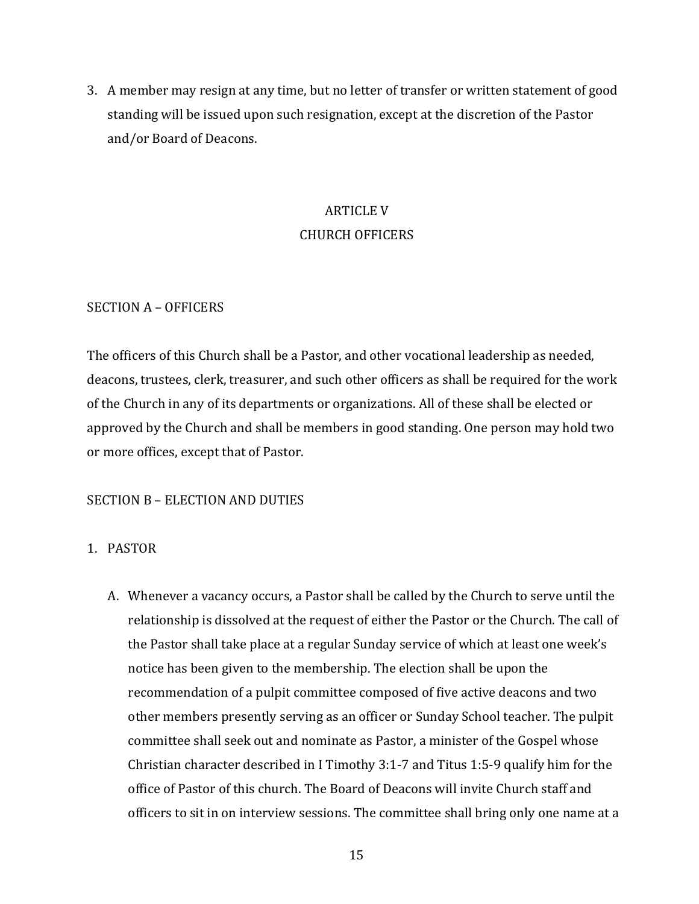3. A member may resign at any time, but no letter of transfer or written statement of good standing will be issued upon such resignation, except at the discretion of the Pastor and/or Board of Deacons.

# **ARTICLE V** CHURCH OFFICERS

#### SECTION A - OFFICERS

The officers of this Church shall be a Pastor, and other vocational leadership as needed, deacons, trustees, clerk, treasurer, and such other officers as shall be required for the work of the Church in any of its departments or organizations. All of these shall be elected or approved by the Church and shall be members in good standing. One person may hold two or more offices, except that of Pastor.

# SECTION B - ELECTION AND DUTIES

# 1. PASTOR

A. Whenever a vacancy occurs, a Pastor shall be called by the Church to serve until the relationship is dissolved at the request of either the Pastor or the Church. The call of the Pastor shall take place at a regular Sunday service of which at least one week's notice has been given to the membership. The election shall be upon the recommendation of a pulpit committee composed of five active deacons and two other members presently serving as an officer or Sunday School teacher. The pulpit committee shall seek out and nominate as Pastor, a minister of the Gospel whose Christian character described in I Timothy 3:1-7 and Titus 1:5-9 qualify him for the office of Pastor of this church. The Board of Deacons will invite Church staff and officers to sit in on interview sessions. The committee shall bring only one name at a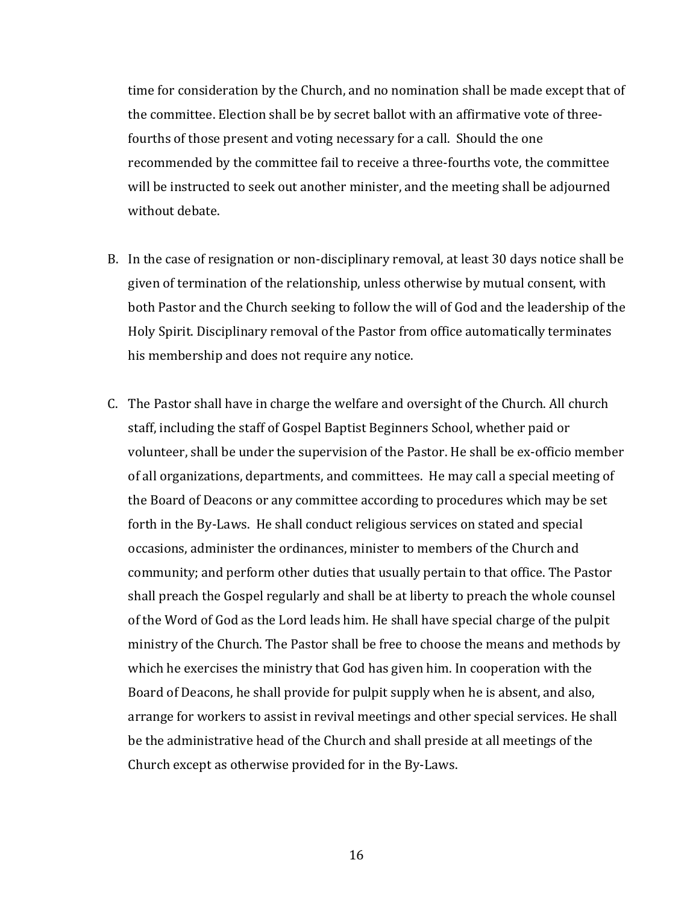time for consideration by the Church, and no nomination shall be made except that of the committee. Election shall be by secret ballot with an affirmative vote of threefourths of those present and voting necessary for a call. Should the one recommended by the committee fail to receive a three-fourths vote, the committee will be instructed to seek out another minister, and the meeting shall be adjourned without debate.

- B. In the case of resignation or non-disciplinary removal, at least 30 days notice shall be given of termination of the relationship, unless otherwise by mutual consent, with both Pastor and the Church seeking to follow the will of God and the leadership of the Holy Spirit. Disciplinary removal of the Pastor from office automatically terminates his membership and does not require any notice.
- C. The Pastor shall have in charge the welfare and oversight of the Church. All church staff, including the staff of Gospel Baptist Beginners School, whether paid or volunteer, shall be under the supervision of the Pastor. He shall be ex-officio member of all organizations, departments, and committees. He may call a special meeting of the Board of Deacons or any committee according to procedures which may be set forth in the By-Laws. He shall conduct religious services on stated and special occasions, administer the ordinances, minister to members of the Church and community; and perform other duties that usually pertain to that office. The Pastor shall preach the Gospel regularly and shall be at liberty to preach the whole counsel of the Word of God as the Lord leads him. He shall have special charge of the pulpit ministry of the Church. The Pastor shall be free to choose the means and methods by which he exercises the ministry that God has given him. In cooperation with the Board of Deacons, he shall provide for pulpit supply when he is absent, and also, arrange for workers to assist in revival meetings and other special services. He shall be the administrative head of the Church and shall preside at all meetings of the Church except as otherwise provided for in the By-Laws.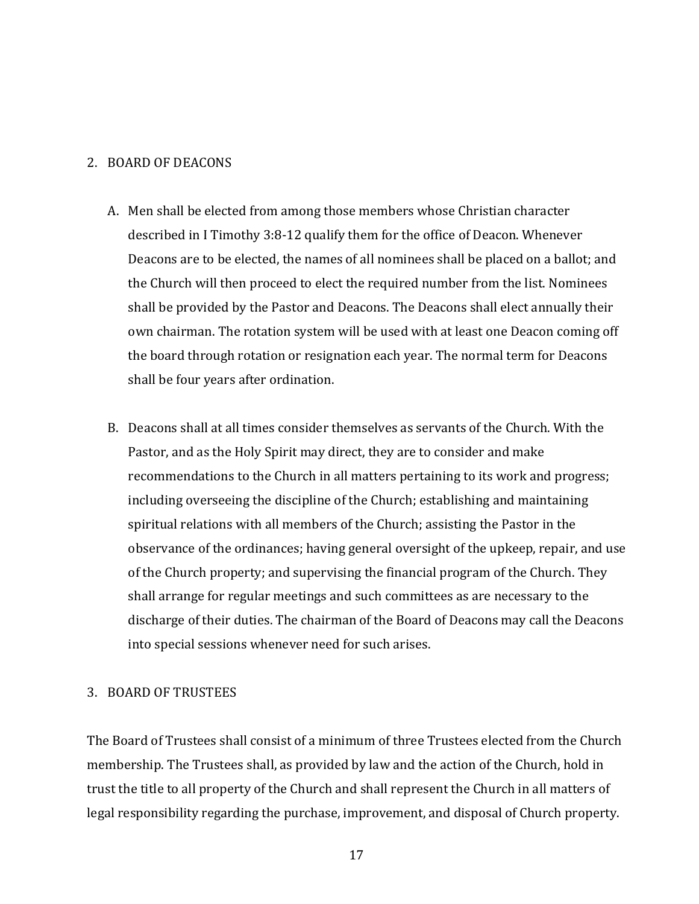#### 2. BOARD OF DEACONS

- A. Men shall be elected from among those members whose Christian character described in I Timothy 3:8-12 qualify them for the office of Deacon. Whenever Deacons are to be elected, the names of all nominees shall be placed on a ballot; and the Church will then proceed to elect the required number from the list. Nominees shall be provided by the Pastor and Deacons. The Deacons shall elect annually their own chairman. The rotation system will be used with at least one Deacon coming off the board through rotation or resignation each year. The normal term for Deacons shall be four years after ordination.
- B. Deacons shall at all times consider themselves as servants of the Church. With the Pastor, and as the Holy Spirit may direct, they are to consider and make recommendations to the Church in all matters pertaining to its work and progress; including overseeing the discipline of the Church; establishing and maintaining spiritual relations with all members of the Church; assisting the Pastor in the observance of the ordinances; having general oversight of the upkeep, repair, and use of the Church property; and supervising the financial program of the Church. They shall arrange for regular meetings and such committees as are necessary to the discharge of their duties. The chairman of the Board of Deacons may call the Deacons into special sessions whenever need for such arises.

#### 3. BOARD OF TRUSTEES

The Board of Trustees shall consist of a minimum of three Trustees elected from the Church membership. The Trustees shall, as provided by law and the action of the Church, hold in trust the title to all property of the Church and shall represent the Church in all matters of legal responsibility regarding the purchase, improvement, and disposal of Church property.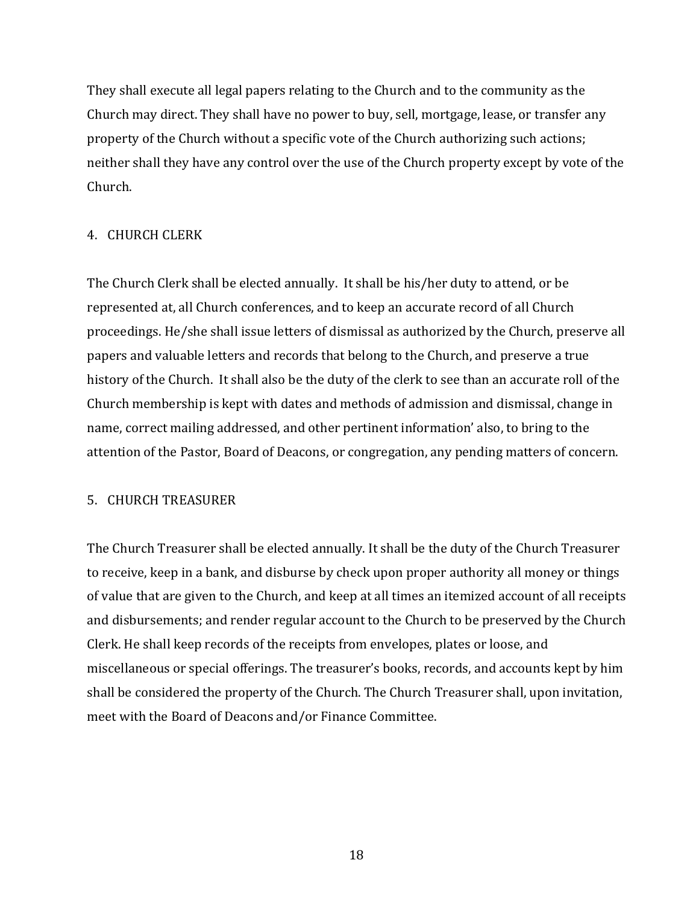They shall execute all legal papers relating to the Church and to the community as the Church may direct. They shall have no power to buy, sell, mortgage, lease, or transfer any property of the Church without a specific vote of the Church authorizing such actions; neither shall they have any control over the use of the Church property except by vote of the Church.

# 4. CHURCH CLERK

The Church Clerk shall be elected annually. It shall be his/her duty to attend, or be represented at, all Church conferences, and to keep an accurate record of all Church proceedings. He/she shall issue letters of dismissal as authorized by the Church, preserve all papers and valuable letters and records that belong to the Church, and preserve a true history of the Church. It shall also be the duty of the clerk to see than an accurate roll of the Church membership is kept with dates and methods of admission and dismissal, change in name, correct mailing addressed, and other pertinent information' also, to bring to the attention of the Pastor, Board of Deacons, or congregation, any pending matters of concern.

# 5. CHURCH TREASURER

The Church Treasurer shall be elected annually. It shall be the duty of the Church Treasurer to receive, keep in a bank, and disburse by check upon proper authority all money or things of value that are given to the Church, and keep at all times an itemized account of all receipts and disbursements; and render regular account to the Church to be preserved by the Church Clerk. He shall keep records of the receipts from envelopes, plates or loose, and miscellaneous or special offerings. The treasurer's books, records, and accounts kept by him shall be considered the property of the Church. The Church Treasurer shall, upon invitation, meet with the Board of Deacons and/or Finance Committee.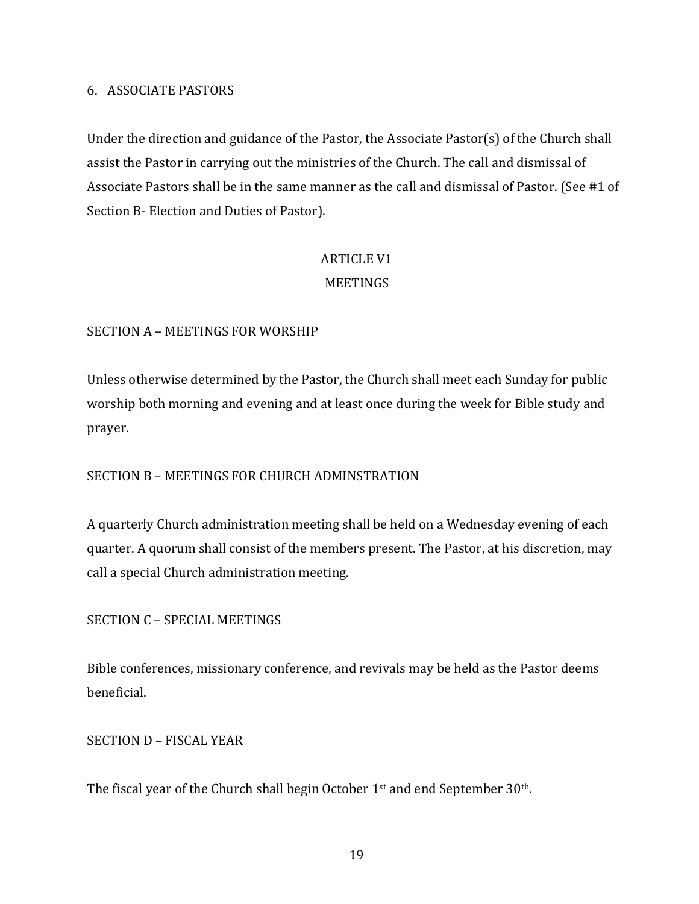#### 6. ASSOCIATE PASTORS

Under the direction and guidance of the Pastor, the Associate Pastor(s) of the Church shall assist the Pastor in carrying out the ministries of the Church. The call and dismissal of Associate Pastors shall be in the same manner as the call and dismissal of Pastor. (See #1 of Section B- Election and Duties of Pastor).

# **ARTICLE V1** MEETINGS

# SECTION A - MEETINGS FOR WORSHIP

Unless otherwise determined by the Pastor, the Church shall meet each Sunday for public worship both morning and evening and at least once during the week for Bible study and prayer.

# SECTION B - MEETINGS FOR CHURCH ADMINSTRATION

A quarterly Church administration meeting shall be held on a Wednesday evening of each quarter. A quorum shall consist of the members present. The Pastor, at his discretion, may call a special Church administration meeting.

# SECTION C - SPECIAL MEETINGS

Bible conferences, missionary conference, and revivals may be held as the Pastor deems beneficial. 

SECTION D - FISCAL YEAR

The fiscal year of the Church shall begin October  $1<sup>st</sup>$  and end September  $30<sup>th</sup>$ .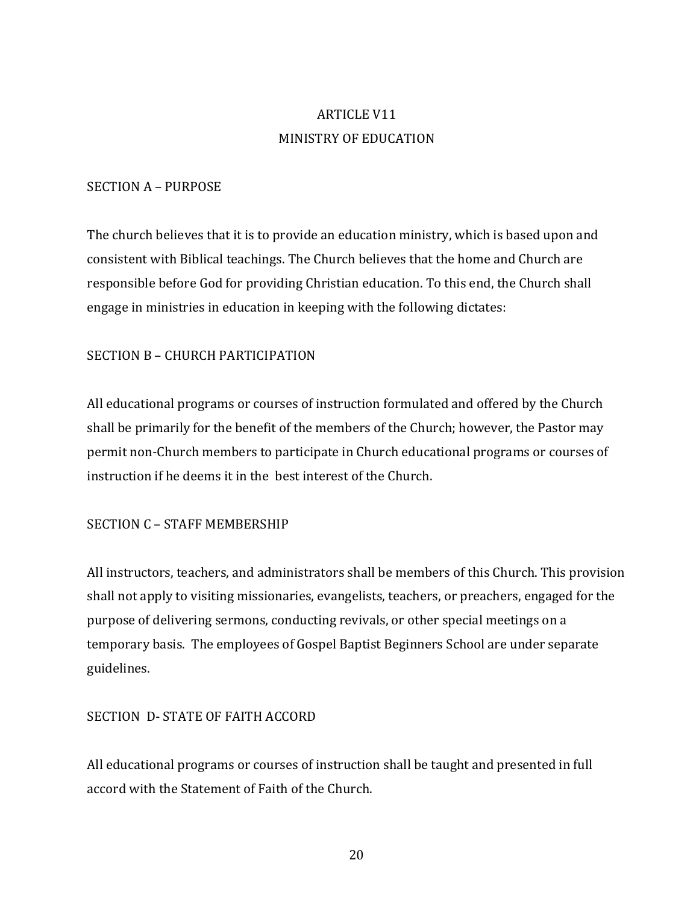# **ARTICLE V11** MINISTRY OF EDUCATION

#### SECTION A - PURPOSE

The church believes that it is to provide an education ministry, which is based upon and consistent with Biblical teachings. The Church believes that the home and Church are responsible before God for providing Christian education. To this end, the Church shall engage in ministries in education in keeping with the following dictates:

# SECTION B - CHURCH PARTICIPATION

All educational programs or courses of instruction formulated and offered by the Church shall be primarily for the benefit of the members of the Church; however, the Pastor may permit non-Church members to participate in Church educational programs or courses of instruction if he deems it in the best interest of the Church.

#### SECTION C - STAFF MEMBERSHIP

All instructors, teachers, and administrators shall be members of this Church. This provision shall not apply to visiting missionaries, evangelists, teachers, or preachers, engaged for the purpose of delivering sermons, conducting revivals, or other special meetings on a temporary basis. The employees of Gospel Baptist Beginners School are under separate guidelines.

# SECTION D- STATE OF FAITH ACCORD

All educational programs or courses of instruction shall be taught and presented in full accord with the Statement of Faith of the Church.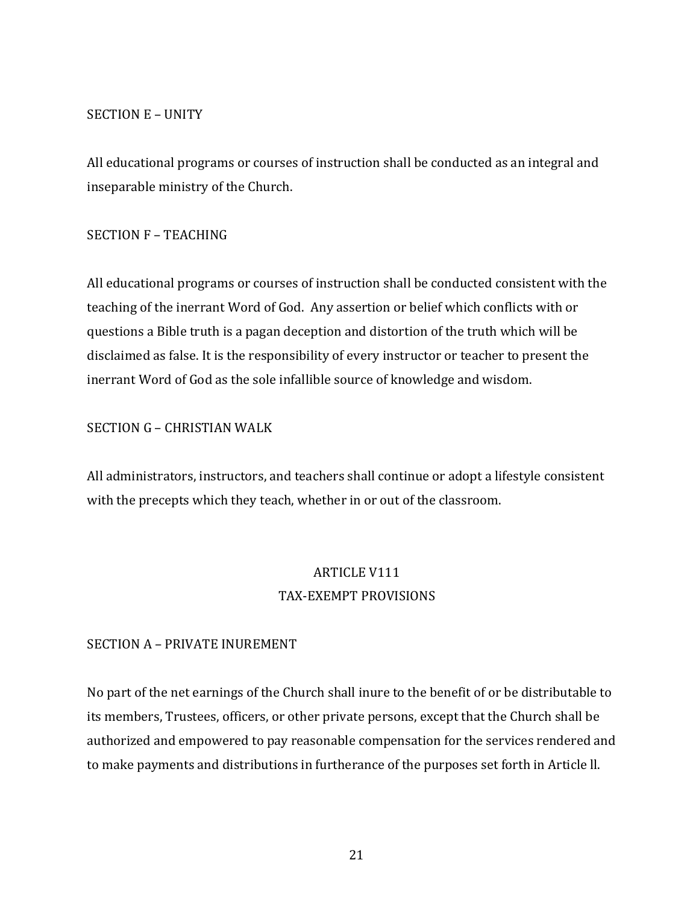#### SECTION E - UNITY

All educational programs or courses of instruction shall be conducted as an integral and inseparable ministry of the Church.

#### SECTION **F** – TEACHING

All educational programs or courses of instruction shall be conducted consistent with the teaching of the inerrant Word of God. Any assertion or belief which conflicts with or questions a Bible truth is a pagan deception and distortion of the truth which will be disclaimed as false. It is the responsibility of every instructor or teacher to present the inerrant Word of God as the sole infallible source of knowledge and wisdom.

# SECTION G - CHRISTIAN WALK

All administrators, instructors, and teachers shall continue or adopt a lifestyle consistent with the precepts which they teach, whether in or out of the classroom.

# **ARTICLE V111** TAX-EXEMPT PROVISIONS

#### SECTION A - PRIVATE INUREMENT

No part of the net earnings of the Church shall inure to the benefit of or be distributable to its members, Trustees, officers, or other private persons, except that the Church shall be authorized and empowered to pay reasonable compensation for the services rendered and to make payments and distributions in furtherance of the purposes set forth in Article II.

21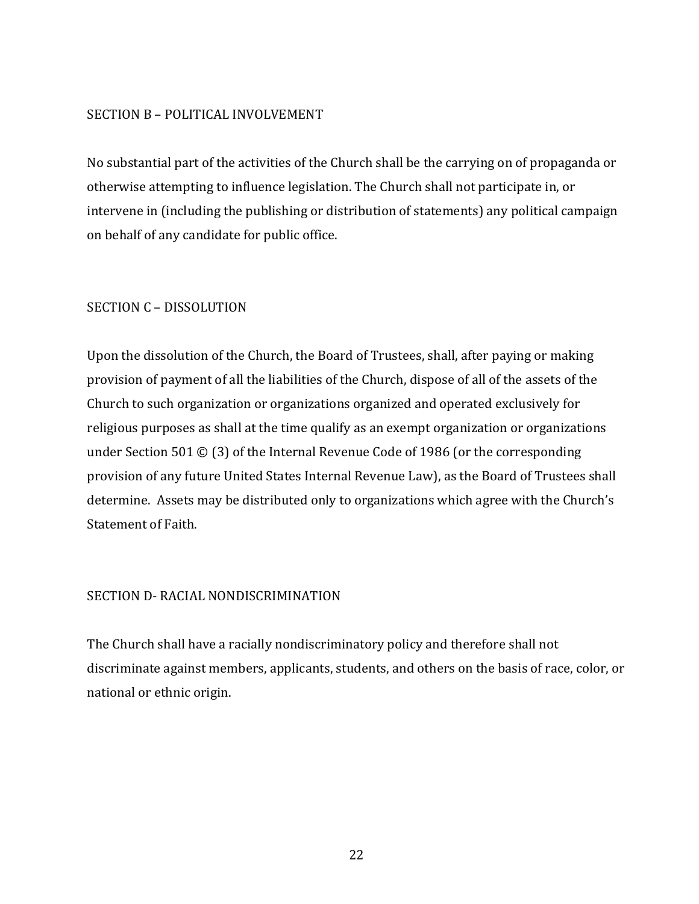#### SECTION B - POLITICAL INVOLVEMENT

No substantial part of the activities of the Church shall be the carrying on of propaganda or otherwise attempting to influence legislation. The Church shall not participate in, or intervene in (including the publishing or distribution of statements) any political campaign on behalf of any candidate for public office.

# SECTION C - DISSOLUTION

Upon the dissolution of the Church, the Board of Trustees, shall, after paying or making provision of payment of all the liabilities of the Church, dispose of all of the assets of the Church to such organization or organizations organized and operated exclusively for religious purposes as shall at the time qualify as an exempt organization or organizations under Section 501  $\odot$  (3) of the Internal Revenue Code of 1986 (or the corresponding provision of any future United States Internal Revenue Law), as the Board of Trustees shall determine. Assets may be distributed only to organizations which agree with the Church's Statement of Faith.

# SECTION D- RACIAL NONDISCRIMINATION

The Church shall have a racially nondiscriminatory policy and therefore shall not discriminate against members, applicants, students, and others on the basis of race, color, or national or ethnic origin.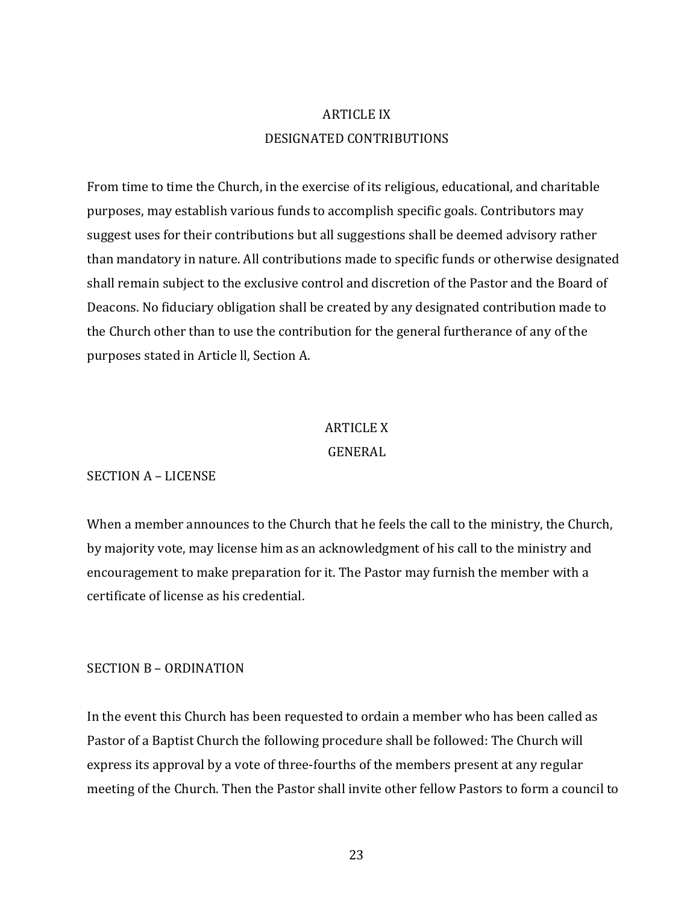# **ARTICLE IX** DESIGNATED CONTRIBUTIONS

From time to time the Church, in the exercise of its religious, educational, and charitable purposes, may establish various funds to accomplish specific goals. Contributors may suggest uses for their contributions but all suggestions shall be deemed advisory rather than mandatory in nature. All contributions made to specific funds or otherwise designated shall remain subject to the exclusive control and discretion of the Pastor and the Board of Deacons. No fiduciary obligation shall be created by any designated contribution made to the Church other than to use the contribution for the general furtherance of any of the purposes stated in Article II, Section A.

#### **ARTICLE X**

#### GENERAL

#### SECTION A - LICENSE

When a member announces to the Church that he feels the call to the ministry, the Church, by majority vote, may license him as an acknowledgment of his call to the ministry and encouragement to make preparation for it. The Pastor may furnish the member with a certificate of license as his credential.

#### SECTION **B** – ORDINATION

In the event this Church has been requested to ordain a member who has been called as Pastor of a Baptist Church the following procedure shall be followed: The Church will express its approval by a vote of three-fourths of the members present at any regular meeting of the Church. Then the Pastor shall invite other fellow Pastors to form a council to